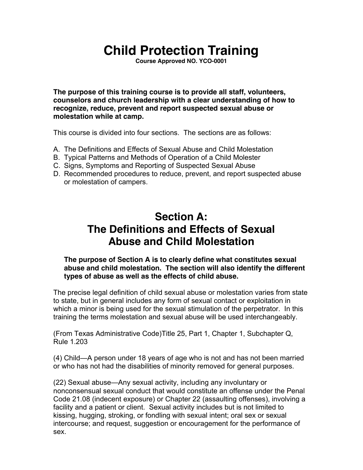# **Child Protection Training**

**Course Approved NO. YCO-0001** 

**The purpose of this training course is to provide all staff, volunteers, counselors and church leadership with a clear understanding of how to recognize, reduce, prevent and report suspected sexual abuse or molestation while at camp.** 

This course is divided into four sections. The sections are as follows:

- A. The Definitions and Effects of Sexual Abuse and Child Molestation
- B. Typical Patterns and Methods of Operation of a Child Molester
- C. Signs, Symptoms and Reporting of Suspected Sexual Abuse
- D. Recommended procedures to reduce, prevent, and report suspected abuse or molestation of campers.

## **Section A: The Definitions and Effects of Sexual Abuse and Child Molestation**

#### **The purpose of Section A is to clearly define what constitutes sexual abuse and child molestation. The section will also identify the different types of abuse as well as the effects of child abuse.**

The precise legal definition of child sexual abuse or molestation varies from state to state, but in general includes any form of sexual contact or exploitation in which a minor is being used for the sexual stimulation of the perpetrator. In this training the terms molestation and sexual abuse will be used interchangeably.

(From Texas Administrative Code)Title 25, Part 1, Chapter 1, Subchapter Q, Rule 1.203

(4) Child—A person under 18 years of age who is not and has not been married or who has not had the disabilities of minority removed for general purposes.

(22) Sexual abuse—Any sexual activity, including any involuntary or nonconsensual sexual conduct that would constitute an offense under the Penal Code 21.08 (indecent exposure) or Chapter 22 (assaulting offenses), involving a facility and a patient or client. Sexual activity includes but is not limited to kissing, hugging, stroking, or fondling with sexual intent; oral sex or sexual intercourse; and request, suggestion or encouragement for the performance of sex.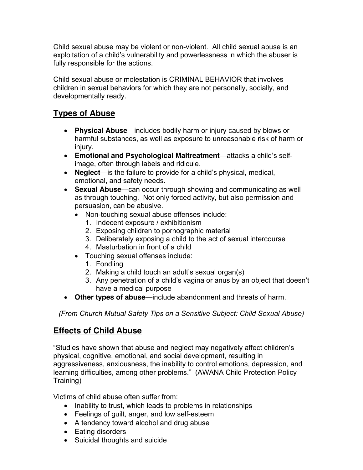Child sexual abuse may be violent or non-violent. All child sexual abuse is an exploitation of a child's vulnerability and powerlessness in which the abuser is fully responsible for the actions.

Child sexual abuse or molestation is CRIMINAL BEHAVIOR that involves children in sexual behaviors for which they are not personally, socially, and developmentally ready.

#### **Types of Abuse**

- **Physical Abuse**—includes bodily harm or injury caused by blows or harmful substances, as well as exposure to unreasonable risk of harm or injury.
- **Emotional and Psychological Maltreatment**—attacks a child's selfimage, often through labels and ridicule.
- **Neglect**—is the failure to provide for a child's physical, medical, emotional, and safety needs.
- **Sexual Abuse**—can occur through showing and communicating as well as through touching. Not only forced activity, but also permission and persuasion, can be abusive.
	- Non-touching sexual abuse offenses include:
		- 1. Indecent exposure / exhibitionism
		- 2. Exposing children to pornographic material
		- 3. Deliberately exposing a child to the act of sexual intercourse
		- 4. Masturbation in front of a child
	- Touching sexual offenses include:
		- 1. Fondling
		- 2. Making a child touch an adult's sexual organ(s)
		- 3. Any penetration of a child's vagina or anus by an object that doesn't have a medical purpose
- **Other types of abuse**—include abandonment and threats of harm.

*(From Church Mutual Safety Tips on a Sensitive Subject: Child Sexual Abuse)* 

#### **Effects of Child Abuse**

"Studies have shown that abuse and neglect may negatively affect children's physical, cognitive, emotional, and social development, resulting in aggressiveness, anxiousness, the inability to control emotions, depression, and learning difficulties, among other problems." (AWANA Child Protection Policy Training)

Victims of child abuse often suffer from:

- Inability to trust, which leads to problems in relationships
- Feelings of guilt, anger, and low self-esteem
- A tendency toward alcohol and drug abuse
- Eating disorders
- Suicidal thoughts and suicide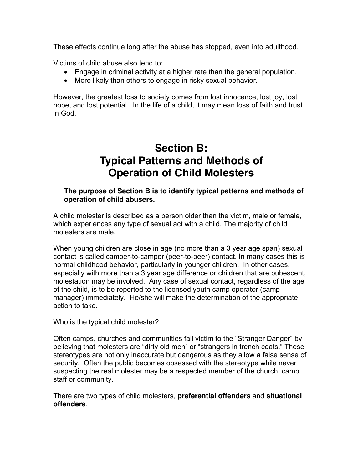These effects continue long after the abuse has stopped, even into adulthood.

Victims of child abuse also tend to:

- Engage in criminal activity at a higher rate than the general population.
- More likely than others to engage in risky sexual behavior.

However, the greatest loss to society comes from lost innocence, lost joy, lost hope, and lost potential. In the life of a child, it may mean loss of faith and trust in God.

## **Section B: Typical Patterns and Methods of Operation of Child Molesters**

#### **The purpose of Section B is to identify typical patterns and methods of operation of child abusers.**

A child molester is described as a person older than the victim, male or female, which experiences any type of sexual act with a child. The majority of child molesters are male.

When young children are close in age (no more than a 3 year age span) sexual contact is called camper-to-camper (peer-to-peer) contact. In many cases this is normal childhood behavior, particularly in younger children. In other cases, especially with more than a 3 year age difference or children that are pubescent, molestation may be involved. Any case of sexual contact, regardless of the age of the child, is to be reported to the licensed youth camp operator (camp manager) immediately. He/she will make the determination of the appropriate action to take.

Who is the typical child molester?

Often camps, churches and communities fall victim to the "Stranger Danger" by believing that molesters are "dirty old men" or "strangers in trench coats." These stereotypes are not only inaccurate but dangerous as they allow a false sense of security. Often the public becomes obsessed with the stereotype while never suspecting the real molester may be a respected member of the church, camp staff or community.

There are two types of child molesters, **preferential offenders** and **situational offenders**.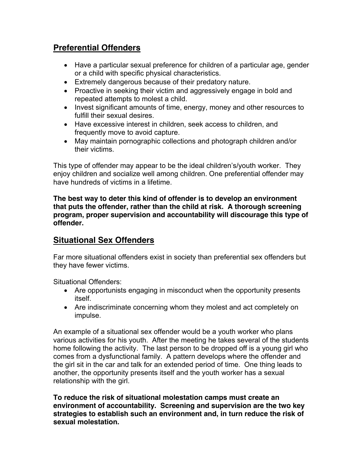#### **Preferential Offenders**

- Have a particular sexual preference for children of a particular age, gender or a child with specific physical characteristics.
- Extremely dangerous because of their predatory nature.
- Proactive in seeking their victim and aggressively engage in bold and repeated attempts to molest a child.
- Invest significant amounts of time, energy, money and other resources to fulfill their sexual desires.
- Have excessive interest in children, seek access to children, and frequently move to avoid capture.
- May maintain pornographic collections and photograph children and/or their victims.

This type of offender may appear to be the ideal children's/youth worker. They enjoy children and socialize well among children. One preferential offender may have hundreds of victims in a lifetime.

**The best way to deter this kind of offender is to develop an environment that puts the offender, rather than the child at risk. A thorough screening program, proper supervision and accountability will discourage this type of offender.** 

#### **Situational Sex Offenders**

Far more situational offenders exist in society than preferential sex offenders but they have fewer victims.

Situational Offenders:

- Are opportunists engaging in misconduct when the opportunity presents itself.
- Are indiscriminate concerning whom they molest and act completely on impulse.

An example of a situational sex offender would be a youth worker who plans various activities for his youth. After the meeting he takes several of the students home following the activity. The last person to be dropped off is a young girl who comes from a dysfunctional family. A pattern develops where the offender and the girl sit in the car and talk for an extended period of time. One thing leads to another, the opportunity presents itself and the youth worker has a sexual relationship with the girl.

**To reduce the risk of situational molestation camps must create an environment of accountability. Screening and supervision are the two key strategies to establish such an environment and, in turn reduce the risk of sexual molestation.**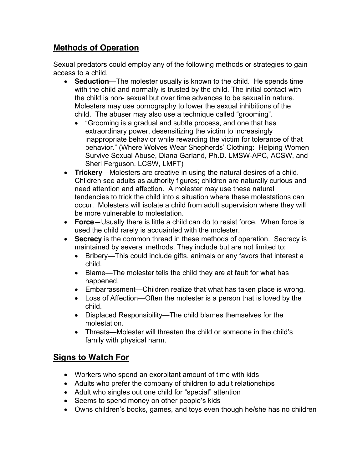#### **Methods of Operation**

Sexual predators could employ any of the following methods or strategies to gain access to a child.

- **Seduction**—The molester usually is known to the child. He spends time with the child and normally is trusted by the child. The initial contact with the child is non- sexual but over time advances to be sexual in nature. Molesters may use pornography to lower the sexual inhibitions of the child. The abuser may also use a technique called "grooming".
	- "Grooming is a gradual and subtle process, and one that has extraordinary power, desensitizing the victim to increasingly inappropriate behavior while rewarding the victim for tolerance of that behavior." (Where Wolves Wear Shepherds' Clothing: Helping Women Survive Sexual Abuse, Diana Garland, Ph.D. LMSW-APC, ACSW, and Sheri Ferguson, LCSW, LMFT)
- **Trickery**—Molesters are creative in using the natural desires of a child. Children see adults as authority figures; children are naturally curious and need attention and affection. A molester may use these natural tendencies to trick the child into a situation where these molestations can occur. Molesters will isolate a child from adult supervision where they will be more vulnerable to molestation.
- **Force—**Usually there is little a child can do to resist force. When force is used the child rarely is acquainted with the molester.
- **Secrecy** is the common thread in these methods of operation. Secrecy is maintained by several methods. They include but are not limited to:
	- Bribery—This could include gifts, animals or any favors that interest a child.
	- Blame—The molester tells the child they are at fault for what has happened.
	- Embarrassment—Children realize that what has taken place is wrong.
	- Loss of Affection—Often the molester is a person that is loved by the child.
	- Displaced Responsibility—The child blames themselves for the molestation.
	- Threats—Molester will threaten the child or someone in the child's family with physical harm.

#### **Signs to Watch For**

- Workers who spend an exorbitant amount of time with kids
- Adults who prefer the company of children to adult relationships
- Adult who singles out one child for "special" attention
- Seems to spend money on other people's kids
- Owns children's books, games, and toys even though he/she has no children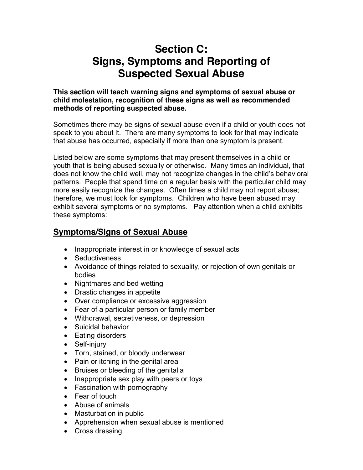# **Section C: Signs, Symptoms and Reporting of Suspected Sexual Abuse**

**This section will teach warning signs and symptoms of sexual abuse or child molestation, recognition of these signs as well as recommended methods of reporting suspected abuse.** 

Sometimes there may be signs of sexual abuse even if a child or youth does not speak to you about it. There are many symptoms to look for that may indicate that abuse has occurred, especially if more than one symptom is present.

Listed below are some symptoms that may present themselves in a child or youth that is being abused sexually or otherwise. Many times an individual, that does not know the child well, may not recognize changes in the child's behavioral patterns. People that spend time on a regular basis with the particular child may more easily recognize the changes. Often times a child may not report abuse; therefore, we must look for symptoms. Children who have been abused may exhibit several symptoms or no symptoms. Pay attention when a child exhibits these symptoms:

#### **Symptoms/Signs of Sexual Abuse**

- Inappropriate interest in or knowledge of sexual acts
- Seductiveness
- Avoidance of things related to sexuality, or rejection of own genitals or bodies
- Nightmares and bed wetting
- Drastic changes in appetite
- Over compliance or excessive aggression
- Fear of a particular person or family member
- Withdrawal, secretiveness, or depression
- Suicidal behavior
- Eating disorders
- Self-injury
- Torn, stained, or bloody underwear
- Pain or itching in the genital area
- Bruises or bleeding of the genitalia
- Inappropriate sex play with peers or toys
- Fascination with pornography
- Fear of touch
- Abuse of animals
- Masturbation in public
- Apprehension when sexual abuse is mentioned
- Cross dressing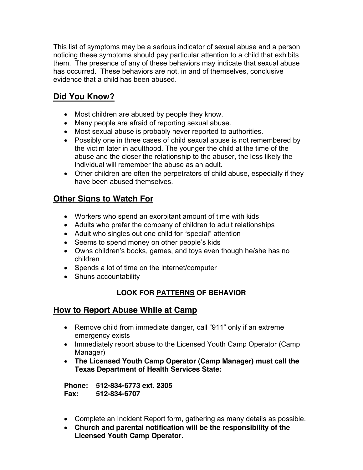This list of symptoms may be a serious indicator of sexual abuse and a person noticing these symptoms should pay particular attention to a child that exhibits them. The presence of any of these behaviors may indicate that sexual abuse has occurred. These behaviors are not, in and of themselves, conclusive evidence that a child has been abused.

### **Did You Know?**

- Most children are abused by people they know.
- Many people are afraid of reporting sexual abuse.
- Most sexual abuse is probably never reported to authorities.
- Possibly one in three cases of child sexual abuse is not remembered by the victim later in adulthood. The younger the child at the time of the abuse and the closer the relationship to the abuser, the less likely the individual will remember the abuse as an adult.
- Other children are often the perpetrators of child abuse, especially if they have been abused themselves.

### **Other Signs to Watch For**

- Workers who spend an exorbitant amount of time with kids
- Adults who prefer the company of children to adult relationships
- Adult who singles out one child for "special" attention
- Seems to spend money on other people's kids
- Owns children's books, games, and toys even though he/she has no children
- Spends a lot of time on the internet/computer
- Shuns accountability

#### **LOOK FOR PATTERNS OF BEHAVIOR**

#### **How to Report Abuse While at Camp**

- Remove child from immediate danger, call "911" only if an extreme emergency exists
- Immediately report abuse to the Licensed Youth Camp Operator (Camp Manager)
- **The Licensed Youth Camp Operator (Camp Manager) must call the Texas Department of Health Services State:**

**Phone: 512-834-6773 ext. 2305 Fax: 512-834-6707** 

- Complete an Incident Report form, gathering as many details as possible.
- **Church and parental notification will be the responsibility of the Licensed Youth Camp Operator.**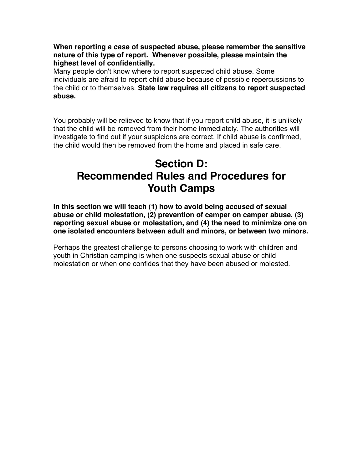**When reporting a case of suspected abuse, please remember the sensitive nature of this type of report. Whenever possible, please maintain the highest level of confidentially.** 

Many people don't know where to report suspected child abuse. Some individuals are afraid to report child abuse because of possible repercussions to the child or to themselves. **State law requires all citizens to report suspected abuse.**

You probably will be relieved to know that if you report child abuse, it is unlikely that the child will be removed from their home immediately. The authorities will investigate to find out if your suspicions are correct. If child abuse is confirmed, the child would then be removed from the home and placed in safe care.

## **Section D: Recommended Rules and Procedures for Youth Camps**

**In this section we will teach (1) how to avoid being accused of sexual abuse or child molestation, (2) prevention of camper on camper abuse, (3) reporting sexual abuse or molestation, and (4) the need to minimize one on one isolated encounters between adult and minors, or between two minors.** 

Perhaps the greatest challenge to persons choosing to work with children and youth in Christian camping is when one suspects sexual abuse or child molestation or when one confides that they have been abused or molested.